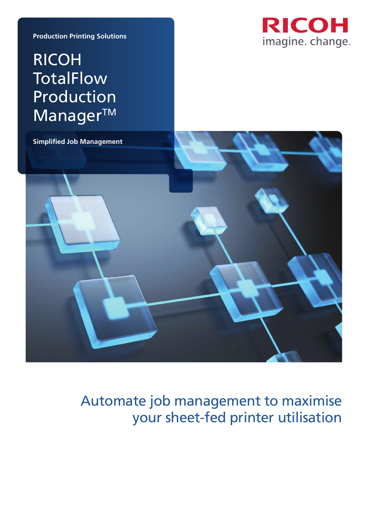**Production Printing Solutions**

# RICOH **TotalFlow** Production Manager™





# Automate job management to maximise your sheet-fed printer utilisation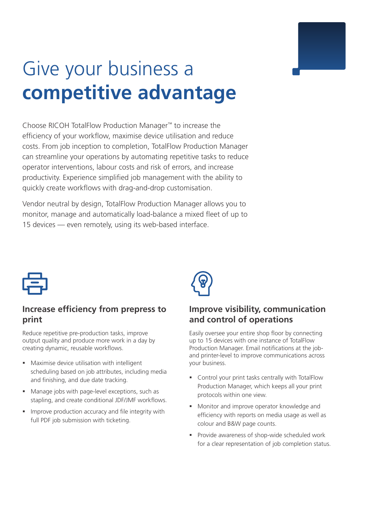# Give your business a **competitive advantage**

Choose RICOH TotalFlow Production Manager™ to increase the efficiency of your workflow, maximise device utilisation and reduce costs. From job inception to completion, TotalFlow Production Manager can streamline your operations by automating repetitive tasks to reduce operator interventions, labour costs and risk of errors, and increase productivity. Experience simplified job management with the ability to quickly create workflows with drag-and-drop customisation.

Vendor neutral by design, TotalFlow Production Manager allows you to monitor, manage and automatically load-balance a mixed fleet of up to 15 devices — even remotely, using its web-based interface.



### **Increase efficiency from prepress to print**

Reduce repetitive pre-production tasks, improve output quality and produce more work in a day by creating dynamic, reusable workflows.

- Maximise device utilisation with intelligent scheduling based on job attributes, including media and finishing, and due date tracking.
- Manage jobs with page-level exceptions, such as stapling, and create conditional JDF/JMF workflows.
- **IMPROVE PRODUCTION ACCURACY AND FILE INTEGRATION** full PDF job submission with ticketing.



## **Improve visibility, communication and control of operations**

Easily oversee your entire shop floor by connecting up to 15 devices with one instance of TotalFlow Production Manager. Email notifications at the joband printer-level to improve communications across your business.

- Control your print tasks centrally with TotalFlow Production Manager, which keeps all your print protocols within one view.
- **Monitor and improve operator knowledge and** efficiency with reports on media usage as well as colour and B&W page counts.
- **Provide awareness of shop-wide scheduled work** for a clear representation of job completion status.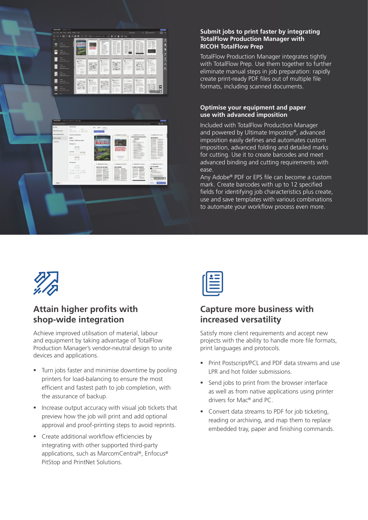# 男 E  $\blacksquare$  $\blacksquare$ 圓 圓 昌

#### **Submit jobs to print faster by integrating TotalFlow Production Manager with RICOH TotalFlow Prep**

TotalFlow Production Manager integrates tightly with TotalFlow Prep. Use them together to further eliminate manual steps in job preparation: rapidly create print-ready PDF files out of multiple file formats, including scanned documents.

#### **Optimise your equipment and paper use with advanced imposition**

Included with TotalFlow Production Manager and powered by Ultimate Impostrip®, advanced imposition easily defines and automates custom imposition, advanced folding and detailed marks for cutting. Use it to create barcodes and meet advanced binding and cutting requirements with ease.

Any Adobe® PDF or EPS file can become a custom mark. Create barcodes with up to 12 specified fields for identifying job characteristics plus create, use and save templates with various combinations to automate your workflow process even more.



## **Attain higher profits with shop-wide integration**

Achieve improved utilisation of material, labour and equipment by taking advantage of TotalFlow Production Manager's vendor-neutral design to unite devices and applications.

- **Turn jobs faster and minimise downtime by pooling** printers for load-balancing to ensure the most efficient and fastest path to job completion, with the assurance of backup.
- **Increase output accuracy with visual job tickets that** preview how the job will print and add optional approval and proof-printing steps to avoid reprints.
- Create additional workflow efficiencies by integrating with other supported third-party applications, such as MarcomCentral®, Enfocus® PitStop and PrintNet Solutions.

## **Capture more business with increased versatility**

Satisfy more client requirements and accept new projects with the ability to handle more file formats, print languages and protocols.

- Print Postscript/PCL and PDF data streams and use LPR and hot folder submissions.
- Send jobs to print from the browser interface as well as from native applications using printer drivers for Mac® and PC.
- **Convert data streams to PDF for job ticketing,** reading or archiving, and map them to replace embedded tray, paper and finishing commands.